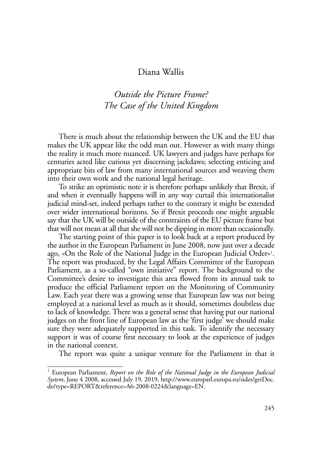## Diana Wallis

## *Outside the Picture Frame? The Case of the United Kingdom*

There is much about the relationship between the UK and the EU that makes the UK appear like the odd man out. However as with many things the reality is much more nuanced. UK lawyers and judges have perhaps for centuries acted like curious yet discerning jackdaws; selecting enticing and appropriate bits of law from many international sources and weaving them into their own work and the national legal heritage.

To strike an optimistic note it is therefore perhaps unlikely that Brexit, if and when it eventually happens will in any way curtail this internationalist judicial mind-set, indeed perhaps rather to the contrary it might be extended over wider international horizons. So if Brexit proceeds one might arguable say that the UK will be outside of the constraints of the EU picture frame but that will not mean at all that she will not be dipping in more than occasionally.

The starting point of this paper is to look back at a report produced by the author in the European Parliament in June 2008, now just over a decade ago, «On the Role of the National Judge in the European Judicial Order»1. The report was produced, by the Legal Affairs Committee of the European Parliament, as a so-called "own initiative" report. The background to the Committee's desire to investigate this area flowed from its annual task to produce the official Parliament report on the Monitoring of Community Law. Each year there was a growing sense that European law was not being employed at a national level as much as it should, sometimes doubtless due to lack of knowledge. There was a general sense that having put our national judges on the front line of European law as the 'first judge' we should make sure they were adequately supported in this task. To identify the necessary support it was of course first necessary to look at the experience of judges in the national context.

The report was quite a unique venture for the Parliament in that it

<sup>&</sup>lt;sup>1</sup> European Parliament, *Report on the Role of the National Judge in the European Judicial System*, June 4 2008, accessed July 19, 2019, http://www.europarl.europa.eu/sides/getDoc. do?type=REPORT&reference=A6-2008-0224&language=EN.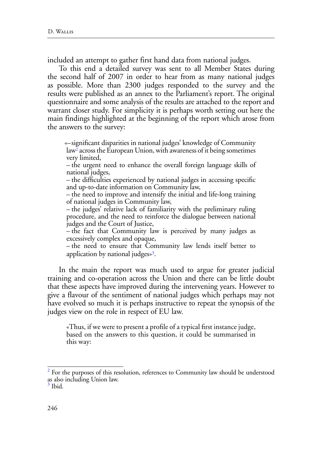included an attempt to gather first hand data from national judges.

To this end a detailed survey was sent to all Member States during the second half of 2007 in order to hear from as many national judges as possible. More than 2300 judges responded to the survey and the results were published as an annex to the Parliament's report. The original questionnaire and some analysis of the results are attached to the report and warrant closer study. For simplicity it is perhaps worth setting out here the main findings highlighted at the beginning of the report which arose from the answers to the survey:

«–significant disparities in national judges' knowledge of Community  $law<sup>2</sup>$  across the European Union, with awareness of it being sometimes very limited,

– the urgent need to enhance the overall foreign language skills of national judges,

– the difficulties experienced by national judges in accessing specific and up-to-date information on Community law,

– the need to improve and intensify the initial and life-long training of national judges in Community law,

– the judges' relative lack of familiarity with the preliminary ruling procedure, and the need to reinforce the dialogue between national judges and the Court of Justice,

– the fact that Community law is perceived by many judges as excessively complex and opaque,

– the need to ensure that Community law lends itself better to application by national judges»3.

In the main the report was much used to argue for greater judicial training and co-operation across the Union and there can be little doubt that these aspects have improved during the intervening years. However to give a flavour of the sentiment of national judges which perhaps may not have evolved so much it is perhaps instructive to repeat the synopsis of the judges view on the role in respect of EU law.

«Thus, if we were to present a profile of a typical first instance judge, based on the answers to this question, it could be summarised in this way:

 $2^{2}$  For the purposes of this resolution, references to Community law should be understood as also including Union law.

 $3$  Ibid.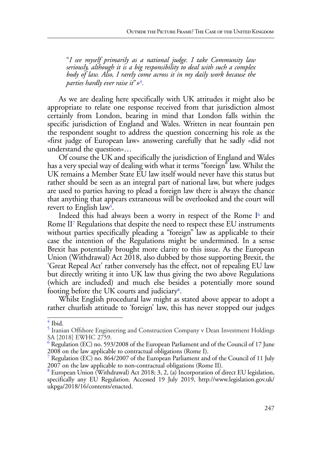"*I see myself primarily as a national judge. I take Community law seriously, although it is a big responsibility to deal with such a complex body of law. Also, I rarely come across it in my daily work because the parties hardly ever raise it*"*»*<sup>4</sup>*.*

As we are dealing here specifically with UK attitudes it might also be appropriate to relate one response received from that jurisdiction almost certainly from London, bearing in mind that London falls within the specific jurisdiction of England and Wales. Written in neat fountain pen the respondent sought to address the question concerning his role as the «first judge of European law» answering carefully that he sadly «did not understand the question»…

Of course the UK and specifically the jurisdiction of England and Wales has a very special way of dealing with what it terms "foreign" law. Whilst the UK remains a Member State EU law itself would never have this status but rather should be seen as an integral part of national law, but where judges are used to parties having to plead a foreign law there is always the chance that anything that appears extraneous will be overlooked and the court will revert to English law<sup>5</sup>.

Indeed this had always been a worry in respect of the Rome I<sup>6</sup> and Rome II7 Regulations that despite the need to respect these EU instruments without parties specifically pleading a "foreign" law as applicable to their case the intention of the Regulations might be undermined. In a sense Brexit has potentially brought more clarity to this issue. As the European Union (Withdrawal) Act 2018, also dubbed by those supporting Brexit, the 'Great Repeal Act' rather conversely has the effect, not of repealing EU law but directly writing it into UK law thus giving the two above Regulations (which are included) and much else besides a potentially more sound footing before the UK courts and judiciary8.

Whilst English procedural law might as stated above appear to adopt a rather churlish attitude to 'foreign' law, this has never stopped our judges

 $\frac{4}{1}$  Ibid.

<sup>5</sup> Iranian Offshore Engineering and Construction Company v Dean Investment Holdings SA [2018] EWHC 2759.

 $^6$  Regulation (EC) no. 593/2008 of the European Parliament and of the Council of 17 June 2008 on the law applicable to contractual obligations (Rome I).

<sup>7</sup> Regulation (EC) no. 864/2007 of the European Parliament and of the Council of 11 July 2007 on the law applicable to non-contractual obligations (Rome II).

<sup>&</sup>lt;sup>8</sup> European Union (Withdrawal) Act 2018; 3, 2, (a) Incorporation of direct EU legislation, specifically any EU Regulation. Accessed 19 July 2019, http://www.legislation.gov.uk/ ukpga/2018/16/contents/enacted.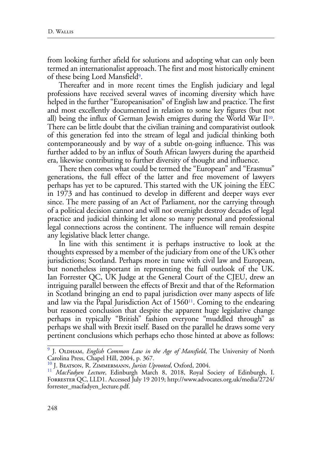from looking further afield for solutions and adopting what can only been termed an internationalist approach. The first and most historically eminent of these being Lord Mansfield<sup>9</sup>.

Thereafter and in more recent times the English judiciary and legal professions have received several waves of incoming diversity which have helped in the further "Europeanisation" of English law and practice. The first and most excellently documented in relation to some key figures (but not all) being the influx of German Jewish emigres during the World War  $II<sup>10</sup>$ . There can be little doubt that the civilian training and comparativist outlook of this generation fed into the stream of legal and judicial thinking both contemporaneously and by way of a subtle on-going influence. This was further added to by an influx of South African lawyers during the apartheid era, likewise contributing to further diversity of thought and influence.

There then comes what could be termed the "European" and "Erasmus" generations, the full effect of the latter and free movement of lawyers perhaps has yet to be captured. This started with the UK joining the EEC in 1973 and has continued to develop in different and deeper ways ever since. The mere passing of an Act of Parliament, nor the carrying through of a political decision cannot and will not overnight destroy decades of legal practice and judicial thinking let alone so many personal and professional legal connections across the continent. The influence will remain despite any legislative black letter change.

In line with this sentiment it is perhaps instructive to look at the thoughts expressed by a member of the judiciary from one of the UK's other jurisdictions; Scotland. Perhaps more in tune with civil law and European, but nonetheless important in representing the full outlook of the UK. Ian Forrester QC, UK Judge at the General Court of the CJEU, drew an intriguing parallel between the effects of Brexit and that of the Reformation in Scotland bringing an end to papal jurisdiction over many aspects of life and law via the Papal Jurisdiction Act of  $1560<sup>11</sup>$ . Coming to the endearing but reasoned conclusion that despite the apparent huge legislative change perhaps in typically "British" fashion everyone "muddled through" as perhaps we shall with Brexit itself. Based on the parallel he draws some very pertinent conclusions which perhaps echo those hinted at above as follows:

<sup>&</sup>lt;sup>9</sup> J. OLDHAM, *English Common Law in the Age of Mansfield*, The University of North Carolina Press, Chapel Hill, 2004, p. 367.<br><sup>10</sup> J. Bearson, R. Zimmermann, *Jurists Uprooted*, Oxford, 2004.

<sup>&</sup>lt;sup>11</sup> MacFadyen Lecture, Edinburgh March 8, 2018, Royal Society of Edinburgh, I. Forrester QC, LLD1. Accessed July 19 2019; http://www.advocates.org.uk/media/2724/ forrester\_macfadyen\_lecture.pdf.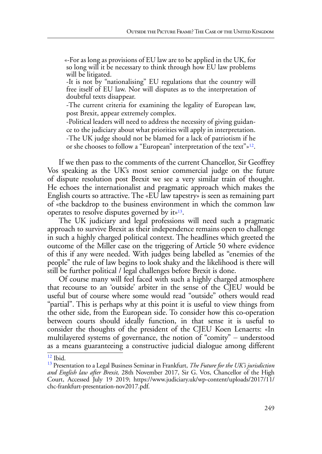«-For as long as provisions of EU law are to be applied in the UK, for so long will it be necessary to think through how EU law problems will be litigated.

-It is not by "nationalising" EU regulations that the country will free itself of EU law. Nor will disputes as to the interpretation of doubtful texts disappear.

-The current criteria for examining the legality of European law, post Brexit, appear extremely complex.

-Political leaders will need to address the necessity of giving guidance to the judiciary about what priorities will apply in interpretation. -The UK judge should not be blamed for a lack of patriotism if he or she chooses to follow a "European" interpretation of the text" $v^{12}$ .

If we then pass to the comments of the current Chancellor, Sir Geoffrey Vos speaking as the UK's most senior commercial judge on the future of dispute resolution post Brexit we see a very similar train of thought. He echoes the internationalist and pragmatic approach which makes the English courts so attractive. The «EU law tapestry» is seen as remaining part of «the backdrop to the business environment in which the common law operates to resolve disputes governed by it»13.

The UK judiciary and legal professions will need such a pragmatic approach to survive Brexit as their independence remains open to challenge in such a highly charged political context. The headlines which greeted the outcome of the Miller case on the triggering of Article 50 where evidence of this if any were needed. With judges being labelled as "enemies of the people" the rule of law begins to look shaky and the likelihood is there will still be further political / legal challenges before Brexit is done.

Of course many will feel faced with such a highly charged atmosphere that recourse to an 'outside' arbiter in the sense of the CJEU would be useful but of course where some would read "outside" others would read "partial". This is perhaps why at this point it is useful to view things from the other side, from the European side. To consider how this co-operation between courts should ideally function, in that sense it is useful to consider the thoughts of the president of the CJEU Koen Lenaerts: «In multilayered systems of governance, the notion of "comity" – understood as a means guaranteeing a constructive judicial dialogue among different

 $12$  Ibid.

<sup>13</sup> Presentation to a Legal Business Seminar in Frankfurt, *The Future for the UK's jurisdiction and English law after Brexit,* 28th November 2017, Sir G. Vos, Chancellor of the High Court, Accessed July 19 2019; https://www.judiciary.uk/wp-content/uploads/2017/11/ chc-frankfurt-presentation-nov2017.pdf.